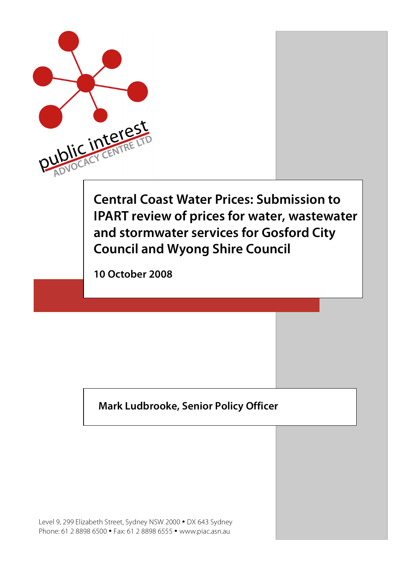

### **Mark Ludbrooke, Senior Policy Officer**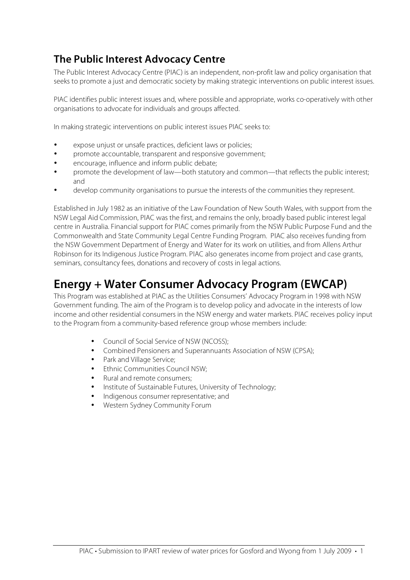### **The Public Interest Advocacy Centre**

The Public Interest Advocacy Centre (PIAC) is an independent, non-profit law and policy organisation that seeks to promote a just and democratic society by making strategic interventions on public interest issues.

PIAC identifies public interest issues and, where possible and appropriate, works co-operatively with other organisations to advocate for individuals and groups affected.

In making strategic interventions on public interest issues PIAC seeks to:

- expose unjust or unsafe practices, deficient laws or policies;
- promote accountable, transparent and responsive government;
- encourage, influence and inform public debate;
- promote the development of law—both statutory and common—that reflects the public interest; and
- develop community organisations to pursue the interests of the communities they represent.

Established in July 1982 as an initiative of the Law Foundation of New South Wales, with support from the NSW Legal Aid Commission, PIAC was the first, and remains the only, broadly based public interest legal centre in Australia. Financial support for PIAC comes primarily from the NSW Public Purpose Fund and the Commonwealth and State Community Legal Centre Funding Program. PIAC also receives funding from the NSW Government Department of Energy and Water for its work on utilities, and from Allens Arthur Robinson for its Indigenous Justice Program. PIAC also generates income from project and case grants, seminars, consultancy fees, donations and recovery of costs in legal actions.

### **Energy + Water Consumer Advocacy Program (EWCAP)**

This Program was established at PIAC as the Utilities Consumers' Advocacy Program in 1998 with NSW Government funding. The aim of the Program is to develop policy and advocate in the interests of low income and other residential consumers in the NSW energy and water markets. PIAC receives policy input to the Program from a community-based reference group whose members include:

- Council of Social Service of NSW (NCOSS);
- Combined Pensioners and Superannuants Association of NSW (CPSA);
- Park and Village Service;
- Ethnic Communities Council NSW;
- Rural and remote consumers;
- Institute of Sustainable Futures, University of Technology;
- Indigenous consumer representative; and
- Western Sydney Community Forum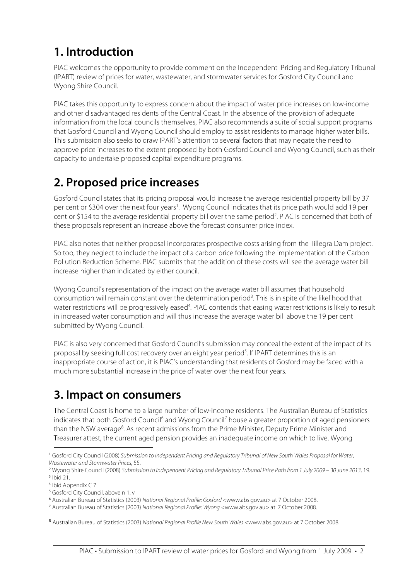# **1. Introduction**

PIAC welcomes the opportunity to provide comment on the Independent Pricing and Regulatory Tribunal (IPART) review of prices for water, wastewater, and stormwater services for Gosford City Council and Wyong Shire Council.

PIAC takes this opportunity to express concern about the impact of water price increases on low-income and other disadvantaged residents of the Central Coast. In the absence of the provision of adequate information from the local councils themselves, PIAC also recommends a suite of social support programs that Gosford Council and Wyong Council should employ to assist residents to manage higher water bills. This submission also seeks to draw IPART's attention to several factors that may negate the need to approve price increases to the extent proposed by both Gosford Council and Wyong Council, such as their capacity to undertake proposed capital expenditure programs.

### **2. Proposed price increases**

Gosford Council states that its pricing proposal would increase the average residential property bill by 37 per cent or \$304 over the next four years<sup>1</sup>. Wyong Council indicates that its price path would add 19 per cent or \$154 to the average residential property bill over the same period<sup>2</sup>. PIAC is concerned that both of these proposals represent an increase above the forecast consumer price index.

PIAC also notes that neither proposal incorporates prospective costs arising from the Tillegra Dam project. So too, they neglect to include the impact of a carbon price following the implementation of the Carbon Pollution Reduction Scheme. PIAC submits that the addition of these costs will see the average water bill increase higher than indicated by either council.

Wyong Council's representation of the impact on the average water bill assumes that household consumption will remain constant over the determination period<sup>3</sup>. This is in spite of the likelihood that water restrictions will be progressively eased<sup>4</sup>. PIAC contends that easing water restrictions is likely to result in increased water consumption and will thus increase the average water bill above the 19 per cent submitted by Wyong Council.

PIAC is also very concerned that Gosford Council's submission may conceal the extent of the impact of its proposal by seeking full cost recovery over an eight year period<sup>5</sup>. If IPART determines this is an inappropriate course of action, it is PIAC's understanding that residents of Gosford may be faced with a much more substantial increase in the price of water over the next four years.

### **3. Impact on consumers**

The Central Coast is home to a large number of low-income residents. The Australian Bureau of Statistics indicates that both Gosford Council<sup>6</sup> and Wyong Council<sup>7</sup> house a greater proportion of aged pensioners than the NSW average<sup>8</sup>. As recent admissions from the Prime Minister, Deputy Prime Minister and Treasurer attest, the current aged pension provides an inadequate income on which to live. Wyong

 $\overline{a}$ <sup>1</sup> Gosford City Council (2008) Submission to Independent Pricing and Regulatory Tribunal of New South Wales Proposal for Water, Wastewater and Stormwater Prices, 55.

<sup>2</sup> Wyong Shire Council (2008) Submission to Independent Pricing and Regulatory Tribunal Price Path from 1 July 2009 – 30 June 2013, 19. 3 Ibid 21.

<sup>4</sup> Ibid Appendix C 7.

<sup>&</sup>lt;sup>5</sup> Gosford City Council, above n 1, v

<sup>6</sup> Australian Bureau of Statistics (2003) National Regional Profile: Gosford <www.abs.gov.au> at 7 October 2008.

<sup>7</sup> Australian Bureau of Statistics (2003) National Regional Profile: Wyong <www.abs.gov.au> at 7 October 2008.

<sup>8</sup> Australian Bureau of Statistics (2003) National Regional Profile New South Wales <www.abs.gov.au> at 7 October 2008.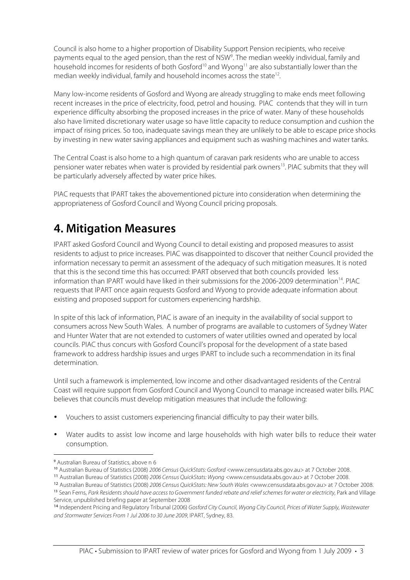Council is also home to a higher proportion of Disability Support Pension recipients, who receive payments equal to the aged pension, than the rest of NSW<sup>9</sup>. The median weekly individual, family and household incomes for residents of both Gosford<sup>10</sup> and Wyong<sup>11</sup> are also substantially lower than the median weekly individual, family and household incomes across the state<sup>12</sup>.

Many low-income residents of Gosford and Wyong are already struggling to make ends meet following recent increases in the price of electricity, food, petrol and housing. PIAC contends that they will in turn experience difficulty absorbing the proposed increases in the price of water. Many of these households also have limited discretionary water usage so have little capacity to reduce consumption and cushion the impact of rising prices. So too, inadequate savings mean they are unlikely to be able to escape price shocks by investing in new water saving appliances and equipment such as washing machines and water tanks.

The Central Coast is also home to a high quantum of caravan park residents who are unable to access pensioner water rebates when water is provided by residential park owners<sup>13</sup>. PIAC submits that they will be particularly adversely affected by water price hikes.

PIAC requests that IPART takes the abovementioned picture into consideration when determining the appropriateness of Gosford Council and Wyong Council pricing proposals.

## **4. Mitigation Measures**

IPART asked Gosford Council and Wyong Council to detail existing and proposed measures to assist residents to adjust to price increases. PIAC was disappointed to discover that neither Council provided the information necessary to permit an assessment of the adequacy of such mitigation measures. It is noted that this is the second time this has occurred: IPART observed that both councils provided less information than IPART would have liked in their submissions for the 2006-2009 determination<sup>14</sup>. PIAC requests that IPART once again requests Gosford and Wyong to provide adequate information about existing and proposed support for customers experiencing hardship.

In spite of this lack of information, PIAC is aware of an inequity in the availability of social support to consumers across New South Wales. A number of programs are available to customers of Sydney Water and Hunter Water that are not extended to customers of water utilities owned and operated by local councils. PIAC thus concurs with Gosford Council's proposal for the development of a state based framework to address hardship issues and urges IPART to include such a recommendation in its final determination.

Until such a framework is implemented, low income and other disadvantaged residents of the Central Coast will require support from Gosford Council and Wyong Council to manage increased water bills. PIAC believes that councils must develop mitigation measures that include the following:

- Vouchers to assist customers experiencing financial difficulty to pay their water bills.
- Water audits to assist low income and large households with high water bills to reduce their water consumption.

 $\overline{a}$ 

Service, unpublished briefing paper at September 2008

<sup>9</sup> Australian Bureau of Statistics, above n 6

<sup>10</sup> Australian Bureau of Statistics (2008) 2006 Census QuickStats: Gosford <www.censusdata.abs.gov.au> at 7 October 2008.

<sup>11</sup> Australian Bureau of Statistics (2008) 2006 Census QuickStats: Wyong <www.censusdata.abs.gov.au> at 7 October 2008.

<sup>12</sup> Australian Bureau of Statistics (2008) 2006 Census QuickStats: New South Wales <www.censusdata.abs.gov.au> at 7 October 2008. <sup>13</sup> Sean Ferns, Park Residents should have access to Government funded rebate and relief schemes for water or electricity, Park and Village

<sup>&</sup>lt;sup>14</sup> Independent Pricing and Regulatory Tribunal (2006) Gosford City Council, Wyong City Council, Prices of Water Supply, Wastewater and Stormwater Services From 1 Jul 2006 to 30 June 2009, IPART, Sydney, 83.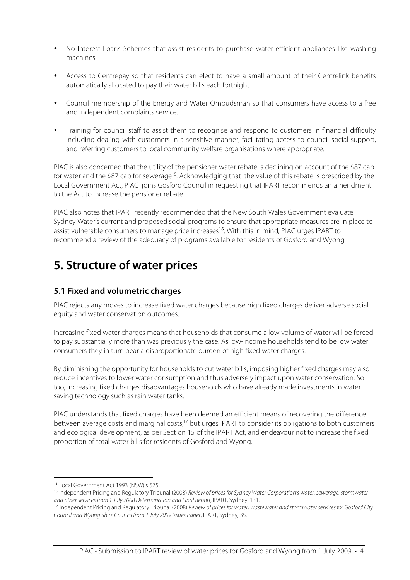- No Interest Loans Schemes that assist residents to purchase water efficient appliances like washing machines.
- Access to Centrepay so that residents can elect to have a small amount of their Centrelink benefits automatically allocated to pay their water bills each fortnight.
- Council membership of the Energy and Water Ombudsman so that consumers have access to a free and independent complaints service.
- Training for council staff to assist them to recognise and respond to customers in financial difficulty including dealing with customers in a sensitive manner, facilitating access to council social support, and referring customers to local community welfare organisations where appropriate.

PIAC is also concerned that the utility of the pensioner water rebate is declining on account of the \$87 cap for water and the \$87 cap for sewerage<sup>15</sup>. Acknowledging that the value of this rebate is prescribed by the Local Government Act, PIAC joins Gosford Council in requesting that IPART recommends an amendment to the Act to increase the pensioner rebate.

PIAC also notes that IPART recently recommended that the New South Wales Government evaluate Sydney Water's current and proposed social programs to ensure that appropriate measures are in place to assist vulnerable consumers to manage price increases<sup>16</sup>. With this in mind, PIAC urges IPART to recommend a review of the adequacy of programs available for residents of Gosford and Wyong.

### **5. Structure of water prices**

#### **5.1 Fixed and volumetric charges**

PIAC rejects any moves to increase fixed water charges because high fixed charges deliver adverse social equity and water conservation outcomes.

Increasing fixed water charges means that households that consume a low volume of water will be forced to pay substantially more than was previously the case. As low-income households tend to be low water consumers they in turn bear a disproportionate burden of high fixed water charges.

By diminishing the opportunity for households to cut water bills, imposing higher fixed charges may also reduce incentives to lower water consumption and thus adversely impact upon water conservation. So too, increasing fixed charges disadvantages households who have already made investments in water saving technology such as rain water tanks.

PIAC understands that fixed charges have been deemed an efficient means of recovering the difference between average costs and marginal costs,<sup>17</sup> but urges IPART to consider its obligations to both customers and ecological development, as per Section 15 of the IPART Act, and endeavour not to increase the fixed proportion of total water bills for residents of Gosford and Wyong.

 $\overline{a}$ <sup>15</sup> Local Government Act 1993 (NSW) s 575.

<sup>&</sup>lt;sup>16</sup> Independent Pricing and Regulatory Tribunal (2008) Review of prices for Sydney Water Corporation's water, sewerage, stormwater and other services from 1 July 2008 Determination and Final Report, IPART, Sydney, 131.

<sup>&</sup>lt;sup>17</sup> Independent Pricing and Regulatory Tribunal (2008) Review of prices for water, wastewater and stormwater services for Gosford City Council and Wyong Shire Council from 1 July 2009 Issues Paper, IPART, Sydney, 35.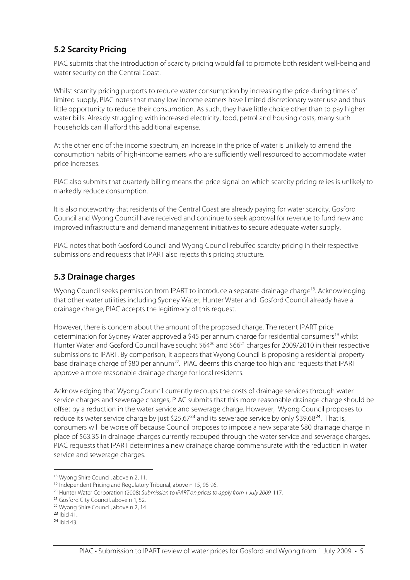#### **5.2 Scarcity Pricing**

PIAC submits that the introduction of scarcity pricing would fail to promote both resident well-being and water security on the Central Coast.

Whilst scarcity pricing purports to reduce water consumption by increasing the price during times of limited supply, PIAC notes that many low-income earners have limited discretionary water use and thus little opportunity to reduce their consumption. As such, they have little choice other than to pay higher water bills. Already struggling with increased electricity, food, petrol and housing costs, many such households can ill afford this additional expense.

At the other end of the income spectrum, an increase in the price of water is unlikely to amend the consumption habits of high-income earners who are sufficiently well resourced to accommodate water price increases.

PIAC also submits that quarterly billing means the price signal on which scarcity pricing relies is unlikely to markedly reduce consumption.

It is also noteworthy that residents of the Central Coast are already paying for water scarcity. Gosford Council and Wyong Council have received and continue to seek approval for revenue to fund new and improved infrastructure and demand management initiatives to secure adequate water supply.

PIAC notes that both Gosford Council and Wyong Council rebuffed scarcity pricing in their respective submissions and requests that IPART also rejects this pricing structure.

#### **5.3 Drainage charges**

Wyong Council seeks permission from IPART to introduce a separate drainage charge<sup>18</sup>. Acknowledging that other water utilities including Sydney Water, Hunter Water and Gosford Council already have a drainage charge, PIAC accepts the legitimacy of this request.

However, there is concern about the amount of the proposed charge. The recent IPART price determination for Sydney Water approved a \$45 per annum charge for residential consumers<sup>19</sup> whilst Hunter Water and Gosford Council have sought \$64<sup>20</sup> and \$66<sup>21</sup> charges for 2009/2010 in their respective submissions to IPART. By comparison, it appears that Wyong Council is proposing a residential property base drainage charge of \$80 per annum<sup>22</sup>. PIAC deems this charge too high and requests that IPART approve a more reasonable drainage charge for local residents.

Acknowledging that Wyong Council currently recoups the costs of drainage services through water service charges and sewerage charges, PIAC submits that this more reasonable drainage charge should be offset by a reduction in the water service and sewerage charge. However, Wyong Council proposes to reduce its water service charge by just \$25.67<sup>23</sup> and its sewerage service by only \$39.68<sup>24</sup>. That is, consumers will be worse off because Council proposes to impose a new separate \$80 drainage charge in place of \$63.35 in drainage charges currently recouped through the water service and sewerage charges. PIAC requests that IPART determines a new drainage charge commensurate with the reduction in water service and sewerage charges.

 $\overline{a}$ <sup>18</sup> Wyong Shire Council, above n 2, 11.

<sup>19</sup> Independent Pricing and Regulatory Tribunal, above n 15, 95-96.

<sup>&</sup>lt;sup>20</sup> Hunter Water Corporation (2008) Submission to IPART on prices to apply from 1 July 2009, 117.

<sup>21</sup> Gosford City Council, above n 1, 52.

<sup>22</sup> Wyong Shire Council, above n 2, 14.

 $23$  Ibid 41.

<sup>24</sup> Ibid 43.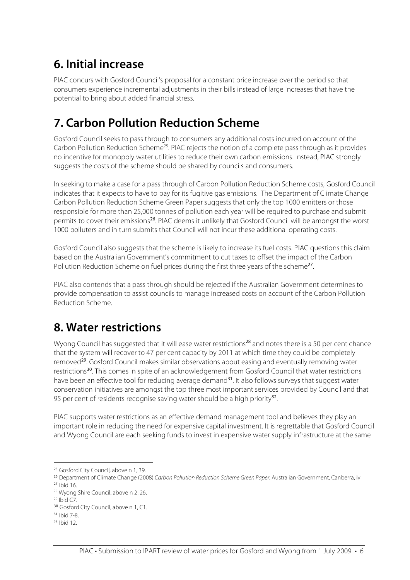## **6. Initial increase**

PIAC concurs with Gosford Council's proposal for a constant price increase over the period so that consumers experience incremental adjustments in their bills instead of large increases that have the potential to bring about added financial stress.

## **7. Carbon Pollution Reduction Scheme**

Gosford Council seeks to pass through to consumers any additional costs incurred on account of the Carbon Pollution Reduction Scheme<sup>25</sup>. PIAC rejects the notion of a complete pass through as it provides no incentive for monopoly water utilities to reduce their own carbon emissions. Instead, PIAC strongly suggests the costs of the scheme should be shared by councils and consumers.

In seeking to make a case for a pass through of Carbon Pollution Reduction Scheme costs, Gosford Council indicates that it expects to have to pay for its fugitive gas emissions. The Department of Climate Change Carbon Pollution Reduction Scheme Green Paper suggests that only the top 1000 emitters or those responsible for more than 25,000 tonnes of pollution each year will be required to purchase and submit permits to cover their emissions<sup>26</sup>. PIAC deems it unlikely that Gosford Council will be amongst the worst 1000 polluters and in turn submits that Council will not incur these additional operating costs.

Gosford Council also suggests that the scheme is likely to increase its fuel costs. PIAC questions this claim based on the Australian Government's commitment to cut taxes to offset the impact of the Carbon Pollution Reduction Scheme on fuel prices during the first three years of the scheme<sup>27</sup>.

PIAC also contends that a pass through should be rejected if the Australian Government determines to provide compensation to assist councils to manage increased costs on account of the Carbon Pollution Reduction Scheme.

### **8. Water restrictions**

Wyong Council has suggested that it will ease water restrictions<sup>28</sup> and notes there is a 50 per cent chance that the system will recover to 47 per cent capacity by 2011 at which time they could be completely removed<sup>29</sup>. Gosford Council makes similar observations about easing and eventually removing water restrictions<sup>30</sup>. This comes in spite of an acknowledgement from Gosford Council that water restrictions have been an effective tool for reducing average demand<sup>31</sup>. It also follows surveys that suggest water conservation initiatives are amongst the top three most important services provided by Council and that 95 per cent of residents recognise saving water should be a high priority<sup>32</sup>.

PIAC supports water restrictions as an effective demand management tool and believes they play an important role in reducing the need for expensive capital investment. It is regrettable that Gosford Council and Wyong Council are each seeking funds to invest in expensive water supply infrastructure at the same

j

<sup>25</sup> Gosford City Council, above n 1, 39.

<sup>&</sup>lt;sup>26</sup> Department of Climate Change (2008) Carbon Pollution Reduction Scheme Green Paper, Australian Government, Canberra, iv

<sup>27</sup> Ibid 16.

<sup>&</sup>lt;sup>28</sup> Wyong Shire Council, above n 2, 26.

 $29$  Ibid C7.

<sup>30</sup> Gosford City Council, above n 1, C1.

<sup>31</sup> Ibid 7-8.

<sup>32</sup> Ibid 12.